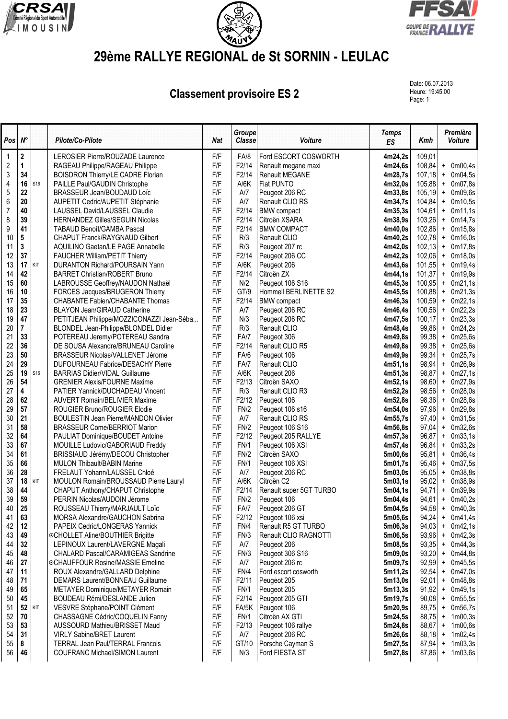





## **29ème RALLYE REGIONAL de St SORNIN - LEULAC**

**Classement provisoire ES 2** 

Date: 06.07.2013 Heure: 19:45:00<br>Page: 1

| Pos            | $N^{\circ}$             |     | Pilote/Co-Pilote                                                                  | <b>Nat</b> | Groupe<br><b>Classe</b> | Voiture                          | <b>Temps</b><br><b>ES</b> | Kmh              | Première<br>Voiture                          |
|----------------|-------------------------|-----|-----------------------------------------------------------------------------------|------------|-------------------------|----------------------------------|---------------------------|------------------|----------------------------------------------|
| $\mathbf 1$    | $\mathbf 2$             |     | LEROSIER Pierre/ROUZADE Laurence                                                  | F/F        | FA/8                    | Ford ESCORT COSWORTH             | 4m24,2s                   | 109,01           |                                              |
| $\overline{c}$ | $\mathbf{1}$            |     | RAGEAU Philippe/RAGEAU Philippe                                                   | F/F        | F2/14                   | Renault megane maxi              | 4m24,6s                   | 108,84           | $+$ 0m00,4s                                  |
| 3              | 34                      |     | BOISDRON Thierry/LE CADRE Florian                                                 | F/F        | F2/14                   | <b>Renault MEGANE</b>            | 4m28,7s                   | 107,18           | 0m04,5s<br>$\ddot{}$                         |
| 4              | 16                      | S16 | PAILLE Paul/GAUDIN Christophe                                                     | F/F        | A/6K                    | Fiat PUNTO                       | 4m32,0s                   | 105,88           | 0m07,8s<br>$+$                               |
| 5              | 22                      |     | BRASSEUR Jean/BOUDAUD Loïc                                                        | F/F        | A/7                     | Peugeot 206 RC                   | 4m33,8s                   | 105,19           | $+$ 0m09,6s                                  |
| 6              | 20                      |     | AUPETIT Cedric/AUPETIT Stéphanie                                                  | F/F        | A/7                     | Renault CLIO RS                  | 4m34,7s                   | 104,84           | 0m10,5s<br>$\ddot{}$                         |
| $\overline{7}$ | 40                      |     | LAUSSEL David/LAUSSEL Claudie                                                     | F/F        | F2/14                   | <b>BMW</b> compact               | 4m35,3s                   | 104,61           | 0m11,1s<br>$\ddot{}$                         |
| 8              | 39                      |     | <b>HERNANDEZ Gilles/SEGUIN Nicolas</b>                                            | F/F        | F2/14                   | Citroën XSARA                    | 4m38,9s                   | 103,26           | 0m14,7s<br>$\ddot{}$                         |
| 9              | 41                      |     | TABAUD Benoît/GAMBA Pascal                                                        | F/F        | F2/14                   | <b>BMW COMPACT</b>               | 4m40,0s                   | 102,86           | 0m15,8s<br>$+$                               |
| 10             | 5                       |     | CHAPUT Franck/RAYGNAUD Gilbert                                                    | F/F        | R/3                     | Renault CLIO                     | 4m40,2s                   | 102,78           | 0m16,0s<br>$\ddot{}$                         |
| 11             | 3                       |     | AQUILINO Gaetan/LE PAGE Annabelle                                                 | F/F        | R/3                     | Peugeot 207 rc                   | 4m42,0s                   | 102, 13          | 0m17,8s<br>$\begin{array}{c} + \end{array}$  |
| 12             | 37                      |     | FAUCHER William/PETIT Thierry                                                     | F/F        | F2/14                   | Peugeot 206 CC                   | 4m42,2s                   | 102,06           | 0m18,0s<br>$\ddot{}$                         |
| 13             | 17                      | KIT | DURANTON Richard/POURSAIN Yann                                                    | F/F        | A/6K                    | Peugeot 206                      | 4m43,6s                   | 101,55           | 0m19,4s<br>$\ddot{}$                         |
| 14             | 42                      |     | <b>BARRET Christian/ROBERT Bruno</b>                                              | F/F        | F2/14                   | Citroën ZX                       | 4m44,1s                   | 101,37           | 0m19,9s<br>$\ddot{}$                         |
| 15             | 60                      |     | LABROUSSE Geoffrey/NAUDON Nathaël                                                 | F/F        | N/2                     | Peugeot 106 S16                  | 4m45,3s                   | 100,95           | 0m21,1s<br>$\ddot{}$                         |
| 16             | 10                      |     | FORCES Jacques/BRUGERON Thierry                                                   | F/F        | GT/9                    | Hommell BERLINETTE S2            | 4m45,5s                   | 100,88           | $+$ 0m21,3s                                  |
| 17<br>18       | 35<br>23                |     | CHABANTE Fabien/CHABANTE Thomas<br><b>BLAYON Jean/GIRAUD Catherine</b>            | F/F<br>F/F | F2/14                   | <b>BMW</b> compact               | 4m46,3s                   | 100,59           | $+$ 0m22,1s                                  |
| 19             | 47                      |     |                                                                                   | F/F        | A/7<br>N/3              | Peugeot 206 RC<br>Peugeot 206 RC | 4m46,4s<br>4m47,5s        | 100,56<br>100,17 | 0m22,2s<br>$\ddot{}$<br>0m23,3s<br>$\ddot{}$ |
| 20             | $\overline{\mathbf{r}}$ |     | PETITJEAN Philippe/MOZZICONAZZI Jean-Séba<br>BLONDEL Jean-Philippe/BLONDEL Didier | F/F        | R/3                     | Renault CLIO                     | 4m48,4s                   | 99,86            | 0m24,2s<br>$\ddot{}$                         |
| 21             | 33                      |     | POTEREAU Jeremy/POTEREAU Sandra                                                   | F/F        | FA/7                    | Peugeot 306                      | 4m49,8s                   | 99,38            | 0m25,6s<br>$+$                               |
| 22             | 36                      |     | DE SOUSA Alexandre/BRUNEAU Caroline                                               | F/F        | F2/14                   | Renault CLIO R5                  | 4m49,8s                   | 99,38            | 0m25,6s<br>$\ddot{}$                         |
| 23             | 50                      |     | BRASSEUR Nicolas/VALLENET Jérome                                                  | F/F        | FA/6                    | Peugeot 106                      | 4m49,9s                   | 99,34            | 0m25,7s<br>$\ddot{}$                         |
| 24             | 29                      |     | DUFOURNEAU Fabrice/DESACHY Pierre                                                 | F/F        | FA/7                    | Renault CLIO                     | 4m51,1s                   | 98,94            | 0m26,9s<br>$\ddot{}$                         |
| 25             | 19                      | S16 | <b>BARRIAS Didier/VIDAL Guillaume</b>                                             | F/F        | A/6K                    | Peugeot 206                      | 4m51,3s                   | 98,87            | 0m27,1s<br>$\ddot{}$                         |
| 26             | 54                      |     | <b>GRENIER Alexis/FOURNE Maxime</b>                                               | F/F        | F2/13                   | Citroën SAXO                     | 4m52,1s                   | 98,60            | 0m27,9s<br>$\ddot{}$                         |
| 27             | 4                       |     | PATIER Yannick/DUCHADEAU Vincent                                                  | F/F        | R/3                     | Renault CLIO R3                  | 4m52,2s                   | 98,56            | 0m28,0s<br>$\begin{array}{c} + \end{array}$  |
| 28             | 62                      |     | <b>AUVERT Romain/BELIVIER Maxime</b>                                              | F/F        | F2/12                   | Peugeot 106                      | 4m52,8s                   | 98,36            | 0m28,6s<br>$\ddot{}$                         |
| 29             | 57                      |     | ROUGIER Bruno/ROUGIER Elodie                                                      | F/F        | FN/2                    | Peugeot 106 s16                  | 4m54,0s                   | 97,96            | 0m29,8s<br>$\ddot{}$                         |
| 30             | 21                      |     | <b>BOULESTIN Jean Pierre/MANDON Olivier</b>                                       | F/F        | A/7                     | Renault CLIO RS                  | 4m55,7s                   | 97,40            | 0m31,5s<br>$\ddot{}$                         |
| 31             | 58                      |     | <b>BRASSEUR Come/BERRIOT Marion</b>                                               | F/F        | FN/2                    | Peugeot 106 S16                  | 4m56,8s                   | 97,04            | 0m32,6s<br>$\ddot{}$                         |
| 32             | 64                      |     | PAULIAT Dominique/BOUDET Antoine                                                  | F/F        | F2/12                   | Peugeot 205 RALLYE               | 4m57,3s                   | 96,87            | 0m33,1s<br>$\ddot{}$                         |
| 33             | 67                      |     | MOUILLE Ludovic/GABORIAUD Freddy                                                  | F/F        | <b>FN/1</b>             | Peugeot 106 XSI                  | 4m57,4s                   | 96,84            | 0m33,2s<br>$\ddot{}$                         |
| 34             | 61                      |     | BRISSIAUD Jérémy/DECOU Christopher                                                | F/F        | FN/2                    | Citroën SAXO                     | 5m00.6s                   | 95,81            | 0m36,4s<br>$\ddot{}$                         |
| 35             | 66                      |     | MULON Thibault/BABIN Marine                                                       | F/F        | FN/1                    | Peugeot 106 XSI                  | 5m01,7s                   | 95,46            | 0m37,5s<br>$\ddot{}$                         |
| 36             | 28                      |     | FRELAUT Yohann/LAUSSEL Chloé                                                      | F/F        | A/7                     | Peugeot 206 RC                   | 5m03,0s                   | 95,05            | 0m38,8s<br>$\ddot{}$                         |
| 37             | 18                      | KIT | MOULON Romain/BROUSSAUD Pierre Lauryl                                             | F/F        | A/6K                    | Citroën C <sub>2</sub>           | 5m03,1s                   | 95,02            | 0m38,9s<br>$\ddot{}$                         |
| 38             | 44                      |     | CHAPUT Anthony/CHAPUT Christophe                                                  | F/F        | F2/14                   | Renault super 5GT TURBO          | 5m04,1s                   | 94,71            | 0m39,9s<br>$\ddot{}$                         |
| 39             | 59                      |     | PERRIN Nicolas/AUDOIN Jérome                                                      | F/F        | FN/2                    | Peugeot 106                      | 5m04,4s                   | 94,61            | $+$ 0m40,2s                                  |
| 40             | 25                      |     | ROUSSEAU Thierry/MARJAULT Loïc                                                    | F/F        | FA/7                    | Peugeot 206 GT                   | 5m04,5s                   | 94,58            | $+$ 0m40,3s                                  |
| 41             | 63                      |     | MORSA Alexandre/GAUCHON Sabrina                                                   | F/F        | F2/12                   | Peugeot 106 xsi                  | 5m05,6s                   | 94,24            | $+$ 0m41,4s                                  |
| 42             | 12                      |     | PAPEIX Cedric/LONGERAS Yannick                                                    | F/F        | FN/4                    | Renault R5 GT TURBO              | 5m06,3s                   | 94,03            | 0m42.1s<br>$\ddot{}$                         |
| 43             | 49                      |     | ©CHOLLET Aline/BOUTHIER Brigitte                                                  | F/F        | FN/3                    | Renault CLIO RAGNOTTI            | 5m06,5s                   | 93,96            | $+$ 0m42,3s                                  |
| 44             | 32                      |     | LEPINOUX Laurent/LAVERGNE Magali                                                  | F/F        | A/7                     | Peugeot 206                      | 5m08,5s                   | 93,35            | $+$ 0m44,3s                                  |
| 45             | 48                      |     | CHALARD Pascal/CARAMIGEAS Sandrine                                                | F/F        | FN/3                    | Peugeot 306 S16                  | 5m09,0s                   | 93,20            | 0m44,8s<br>$\ddot{}$                         |
| 46             | 27                      |     | ©CHAUFFOUR Rosine/MASSIE Emeline                                                  | F/F        | A/7                     | Peugeot 206 rc                   | 5m09,7s                   | 92,99            | 0m45,5s<br>$\ddot{}$                         |
| 47             | 11                      |     | ROUX Alexandre/GALLARD Delphine                                                   | F/F        | FN/4                    | Ford escort cosworth             | 5m11,2s                   | 92,54            | 0m47,0s<br>$\ddot{}$                         |
| 48             | 71                      |     | DEMARS Laurent/BONNEAU Guillaume                                                  | F/F        | F2/11                   | Peugeot 205                      | 5m13,0s                   | 92,01            | 0m48,8s<br>$\ddot{}$                         |
| 49             | 65                      |     | METAYER Dominique/METAYER Romain                                                  | F/F        | FN/1<br>F2/14           | Peugeot 205                      | 5m13,3s                   | 91,92            | 0m49,1s<br>$\ddot{}$                         |
| 50<br>51       | 45<br>52                | KIT | BOUDEAU Rémi/DESLANDE Julien<br>VESVRE Stéphane/POINT Clément                     | F/F<br>F/F | FA/5K                   | Peugeot 205 GTI<br>Peugeot 106   | 5m19,7s<br>5m20,9s        | 90,08<br>89,75   | 0m55,5s<br>$+$<br>0m56,7s<br>$\ddot{}$       |
| 52             | 70                      |     | CHASSAGNE Cédric/COQUELIN Fanny                                                   | F/F        | FN/1                    | Citroën AX GTI                   | 5m24,5s                   | 88,75            | 1m00,3s<br>$\ddot{}$                         |
| 53             | 53                      |     | AUSSOURD Mathieu/BRISSET Maud                                                     | F/F        | F2/13                   | Peugeot 106 rallye               | 5m24,8s                   | 88,67            | 1 <sub>m00,6s</sub><br>$\ddot{}$             |
| 54             | 31                      |     | <b>VIRLY Sabine/BRET Laurent</b>                                                  | F/F        | A/7                     | Peugeot 206 RC                   | 5m26,6s                   | 88,18            | 1m02,4s<br>$+$                               |
| 55             | 8                       |     | <b>TERRAL Jean Paul/TERRAL Francois</b>                                           | F/F        | GT/10                   | Porsche Cayman S                 | 5m27,5s                   | 87,94            | 1m03,3s<br>$\ddot{}$                         |
| 56             | 46                      |     | <b>COUFRANC Michael/SIMON Laurent</b>                                             | F/F        | N/3                     | Ford FIESTA ST                   | 5m27,8s                   | 87,86            | $\ddot{}$<br>1m03,6s                         |
|                |                         |     |                                                                                   |            |                         |                                  |                           |                  |                                              |